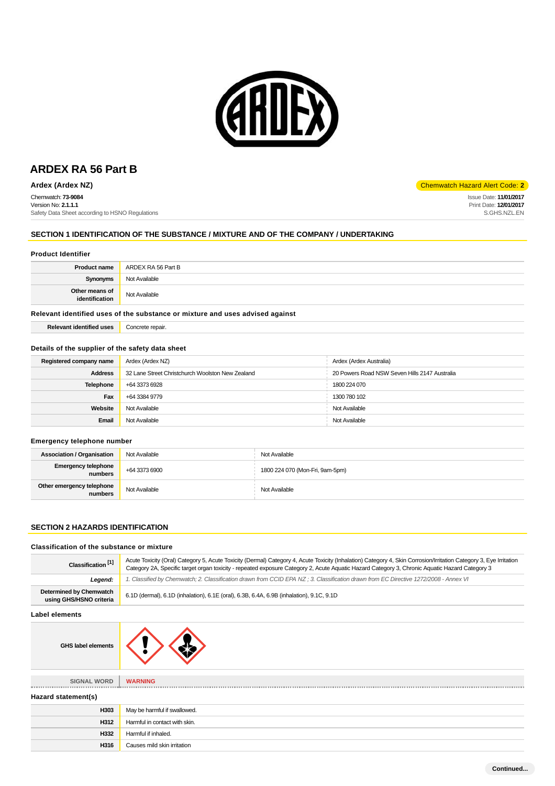

Chemwatch: **73-9084** Version No: **2.1.1.1** Safety Data Sheet according to HSNO Regulations

#### **SECTION 1 IDENTIFICATION OF THE SUBSTANCE / MIXTURE AND OF THE COMPANY / UNDERTAKING**

#### **Product Identifier**

| Not Available<br><b>Synonyms</b>                  |  |
|---------------------------------------------------|--|
| Other means of<br>identification<br>Not Available |  |

#### **Relevant identified uses of the substance or mixture and uses advised against**

| <b>Relevant identified uses</b> | Concrete repair. |
|---------------------------------|------------------|
|                                 |                  |

## **Details of the supplier of the safety data sheet**

| Registered company name                                            | Ardex (Ardex NZ) | Ardex (Ardex Australia)                       |
|--------------------------------------------------------------------|------------------|-----------------------------------------------|
| <b>Address</b><br>32 Lane Street Christchurch Woolston New Zealand |                  | 20 Powers Road NSW Seven Hills 2147 Australia |
| Telephone                                                          | +64 3373 6928    | 1800 224 070                                  |
| Fax                                                                | +64 3384 9779    | 1300 780 102                                  |
| Website                                                            | Not Available    | Not Available                                 |
| Email                                                              | Not Available    | Not Available                                 |

#### **Emergency telephone number**

| <b>Association / Organisation</b>       | Not Available | Not Available                   |
|-----------------------------------------|---------------|---------------------------------|
| <b>Emergency telephone</b><br>numbers . | +64 3373 6900 | 1800 224 070 (Mon-Fri, 9am-5pm) |
| Other emergency telephone<br>numbers    | Not Available | Not Available                   |

#### **SECTION 2 HAZARDS IDENTIFICATION**

#### **Classification of the substance or mixture**

**H316** Causes mild skin irritation

| Classification <sup>[1]</sup>                             | Acute Toxicity (Oral) Category 5, Acute Toxicity (Dermal) Category 4, Acute Toxicity (Inhalation) Category 4, Skin Corrosion/Irritation Category 3, Eye Irritation<br>Category 2A, Specific target organ toxicity - repeated exposure Category 2, Acute Aquatic Hazard Category 3, Chronic Aquatic Hazard Category 3 |  |
|-----------------------------------------------------------|----------------------------------------------------------------------------------------------------------------------------------------------------------------------------------------------------------------------------------------------------------------------------------------------------------------------|--|
| Legend:                                                   | 1. Classified by Chemwatch; 2. Classification drawn from CCID EPA NZ; 3. Classification drawn from EC Directive 1272/2008 - Annex VI                                                                                                                                                                                 |  |
| <b>Determined by Chemwatch</b><br>using GHS/HSNO criteria | 6.1D (dermal), 6.1D (inhalation), 6.1E (oral), 6.3B, 6.4A, 6.9B (inhalation), 9.1C, 9.1D                                                                                                                                                                                                                             |  |
| <b>Label elements</b>                                     |                                                                                                                                                                                                                                                                                                                      |  |
| <b>GHS label elements</b>                                 |                                                                                                                                                                                                                                                                                                                      |  |
| SIGNAL WORD                                               | <b>WARNING</b>                                                                                                                                                                                                                                                                                                       |  |
| Hazard statement(s)                                       |                                                                                                                                                                                                                                                                                                                      |  |
| H303                                                      | May be harmful if swallowed.                                                                                                                                                                                                                                                                                         |  |
| H312                                                      | Harmful in contact with skin.                                                                                                                                                                                                                                                                                        |  |
| H332                                                      | Harmful if inhaled.                                                                                                                                                                                                                                                                                                  |  |

**Ardex (Ardex NZ) Chemwatch Hazard Alert Code: 2** 

Issue Date: **11/01/2017** Print Date: **12/01/2017** S.GHS.NZL.EN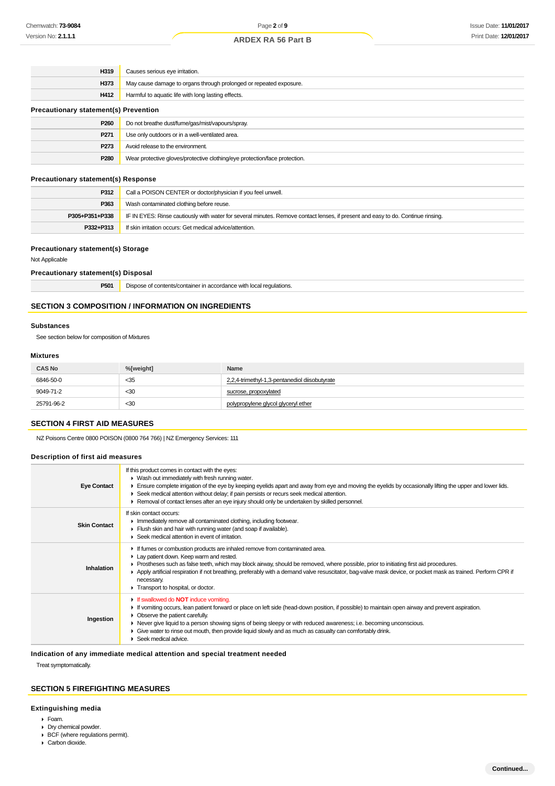| H319                                         | Causes serious eye irritation.                                             |  |
|----------------------------------------------|----------------------------------------------------------------------------|--|
| H373                                         | May cause damage to organs through prolonged or repeated exposure.         |  |
| H412                                         | Harmful to aquatic life with long lasting effects.                         |  |
| <b>Precautionary statement(s) Prevention</b> |                                                                            |  |
| P <sub>260</sub>                             | Do not breathe dust/fume/gas/mist/vapours/spray.                           |  |
| P271                                         | Use only outdoors or in a well-ventilated area.                            |  |
| P273                                         | Avoid release to the environment.                                          |  |
| P280                                         | Wear protective gloves/protective clothing/eye protection/face protection. |  |

#### **Precautionary statement(s) Response**

| P312           | Call a POISON CENTER or doctor/physician if you feel unwell.                                                                     |
|----------------|----------------------------------------------------------------------------------------------------------------------------------|
| P363           | Wash contaminated clothing before reuse.                                                                                         |
| P305+P351+P338 | IF IN EYES: Rinse cautiously with water for several minutes. Remove contact lenses, if present and easy to do. Continue rinsing. |
| P332+P313      | If skin irritation occurs: Get medical advice/attention.                                                                         |

#### **Precautionary statement(s) Storage**

Not Applicable

#### **Precautionary statement(s) Disposal**

|  | <b>P501</b> Dispose of contents/container in accordance with local regulations. |
|--|---------------------------------------------------------------------------------|
|--|---------------------------------------------------------------------------------|

## **SECTION 3 COMPOSITION / INFORMATION ON INGREDIENTS**

#### **Substances**

See section below for composition of Mixtures

#### **Mixtures**

| <b>CAS No</b> | %[weight] | Name                                          |
|---------------|-----------|-----------------------------------------------|
| 6846-50-0     | $<$ 35    | 2,2,4-trimethyl-1,3-pentanediol diisobutyrate |
| 9049-71-2     | $30$      | sucrose, propoxylated                         |
| 25791-96-2    | $30$      | polypropylene glycol glyceryl ether           |

#### **SECTION 4 FIRST AID MEASURES**

NZ Poisons Centre 0800 POISON (0800 764 766) | NZ Emergency Services: 111

#### **Description of first aid measures**

| <b>Eye Contact</b>  | If this product comes in contact with the eyes:<br>$\blacktriangleright$ Wash out immediately with fresh running water.<br>Ensure complete irrigation of the eye by keeping eyelids apart and away from eye and moving the eyelids by occasionally lifting the upper and lower lids.<br>► Seek medical attention without delay; if pain persists or recurs seek medical attention.<br>► Removal of contact lenses after an eye injury should only be undertaken by skilled personnel.            |
|---------------------|--------------------------------------------------------------------------------------------------------------------------------------------------------------------------------------------------------------------------------------------------------------------------------------------------------------------------------------------------------------------------------------------------------------------------------------------------------------------------------------------------|
| <b>Skin Contact</b> | If skin contact occurs:<br>Inmediately remove all contaminated clothing, including footwear.<br>Flush skin and hair with running water (and soap if available).<br>▶ Seek medical attention in event of irritation.                                                                                                                                                                                                                                                                              |
| Inhalation          | If fumes or combustion products are inhaled remove from contaminated area.<br>Lay patient down. Keep warm and rested.<br>▶ Prostheses such as false teeth, which may block airway, should be removed, where possible, prior to initiating first aid procedures.<br>▶ Apply artificial respiration if not breathing, preferably with a demand valve resuscitator, bag-valve mask device, or pocket mask as trained. Perform CPR if<br>necessary.<br>Transport to hospital, or doctor.             |
| Ingestion           | If swallowed do <b>NOT</b> induce vomiting.<br>If vomiting occurs, lean patient forward or place on left side (head-down position, if possible) to maintain open airway and prevent aspiration.<br>• Observe the patient carefully.<br>▶ Never give liquid to a person showing signs of being sleepy or with reduced awareness; i.e. becoming unconscious.<br>• Give water to rinse out mouth, then provide liquid slowly and as much as casualty can comfortably drink.<br>Seek medical advice. |

**Indication of any immediate medical attention and special treatment needed**

Treat symptomatically.

## **SECTION 5 FIREFIGHTING MEASURES**

#### **Extinguishing media**

- Foam.
- Dry chemical powder.
- BCF (where regulations permit).
- Carbon dioxide.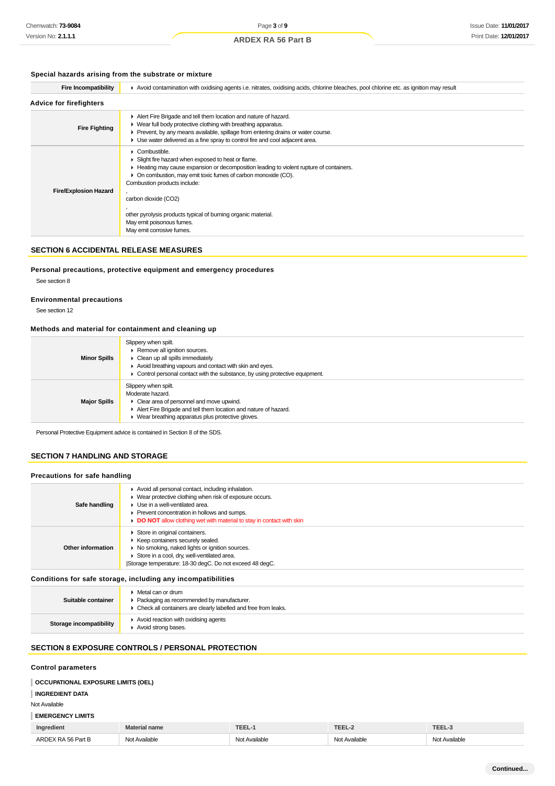## **Special hazards arising from the substrate or mixture**

| <b>Fire Incompatibility</b>    | ▶ Avoid contamination with oxidising agents i.e. nitrates, oxidising acids, chlorine bleaches, pool chlorine etc. as ignition may result                                                                                                                                                                                                                                                                       |  |  |
|--------------------------------|----------------------------------------------------------------------------------------------------------------------------------------------------------------------------------------------------------------------------------------------------------------------------------------------------------------------------------------------------------------------------------------------------------------|--|--|
| <b>Advice for firefighters</b> |                                                                                                                                                                                                                                                                                                                                                                                                                |  |  |
| <b>Fire Fighting</b>           | Alert Fire Brigade and tell them location and nature of hazard.<br>• Wear full body protective clothing with breathing apparatus.<br>▶ Prevent, by any means available, spillage from entering drains or water course.<br>► Use water delivered as a fine spray to control fire and cool adjacent area.                                                                                                        |  |  |
| <b>Fire/Explosion Hazard</b>   | Combustible.<br>Slight fire hazard when exposed to heat or flame.<br>Heating may cause expansion or decomposition leading to violent rupture of containers.<br>On combustion, may emit toxic fumes of carbon monoxide (CO).<br>Combustion products include:<br>carbon dioxide (CO2)<br>other pyrolysis products typical of burning organic material.<br>May emit poisonous fumes.<br>May emit corrosive fumes. |  |  |

## **SECTION 6 ACCIDENTAL RELEASE MEASURES**

#### **Personal precautions, protective equipment and emergency procedures**

See section 8

#### **Environmental precautions**

See section 12

#### **Methods and material for containment and cleaning up**

| <b>Minor Spills</b> | Slippery when spilt.<br>▶ Remove all ignition sources.<br>$\triangleright$ Clean up all spills immediately.<br>Avoid breathing vapours and contact with skin and eyes.<br>Control personal contact with the substance, by using protective equipment. |
|---------------------|-------------------------------------------------------------------------------------------------------------------------------------------------------------------------------------------------------------------------------------------------------|
| <b>Major Spills</b> | Slippery when spilt.<br>Moderate hazard.<br>• Clear area of personnel and move upwind.<br>Alert Fire Brigade and tell them location and nature of hazard.<br>▶ Wear breathing apparatus plus protective gloves.                                       |

Personal Protective Equipment advice is contained in Section 8 of the SDS.

#### **SECTION 7 HANDLING AND STORAGE**

#### **Precautions for safe handling**

| Safe handling     | Avoid all personal contact, including inhalation.<br>• Wear protective clothing when risk of exposure occurs.<br>• Use in a well-ventilated area.<br>▶ Prevent concentration in hollows and sumps.<br>DO NOT allow clothing wet with material to stay in contact with skin |
|-------------------|----------------------------------------------------------------------------------------------------------------------------------------------------------------------------------------------------------------------------------------------------------------------------|
| Other information | Store in original containers.<br>▶ Keep containers securely sealed.<br>▶ No smoking, naked lights or ignition sources.<br>Store in a cool, dry, well-ventilated area.<br>Storage temperature: 18-30 degC. Do not exceed 48 degC.                                           |
|                   | Asadistana fan aafa atanana duabudina anu inaammatikilitiaa                                                                                                                                                                                                                |

#### **Conditions for safe storage, including any incompatibilities**

| Suitable container             | ▶ Metal can or drum<br>▶ Packaging as recommended by manufacturer.<br>• Check all containers are clearly labelled and free from leaks. |
|--------------------------------|----------------------------------------------------------------------------------------------------------------------------------------|
| <b>Storage incompatibility</b> | Avoid reaction with oxidising agents<br>Avoid strong bases.                                                                            |

#### **SECTION 8 EXPOSURE CONTROLS / PERSONAL PROTECTION**

#### **Control parameters**

#### **OCCUPATIONAL EXPOSURE LIMITS (OEL)**

**INGREDIENT DATA**

#### Not Available

## **EMERGENCY LIMITS**

| Ingredient           | name        | <b>EEL'</b>   | TEEL        | <b>FEEL</b>       |
|----------------------|-------------|---------------|-------------|-------------------|
| ARD<br>6 Part E<br>. | t Available | Not Available | : Available | Available<br>Not. |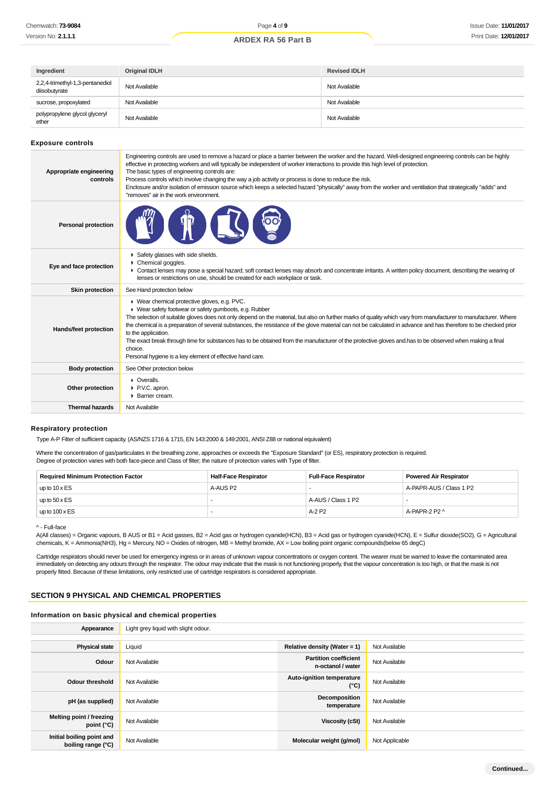| Ingredient                                       | <b>Original IDLH</b> | <b>Revised IDLH</b> |
|--------------------------------------------------|----------------------|---------------------|
| 2,2,4-trimethyl-1,3-pentanediol<br>diisobutyrate | Not Available        | Not Available       |
| sucrose, propoxylated                            | Not Available        | Not Available       |
| polypropylene glycol glyceryl<br>ether           | Not Available        | Not Available       |

#### **Exposure controls**

| Appropriate engineering<br>controls | Engineering controls are used to remove a hazard or place a barrier between the worker and the hazard. Well-designed engineering controls can be highly<br>effective in protecting workers and will typically be independent of worker interactions to provide this high level of protection.<br>The basic types of engineering controls are:<br>Process controls which involve changing the way a job activity or process is done to reduce the risk.<br>Enclosure and/or isolation of emission source which keeps a selected hazard "physically" away from the worker and ventilation that strategically "adds" and<br>"removes" air in the work environment.                                          |
|-------------------------------------|----------------------------------------------------------------------------------------------------------------------------------------------------------------------------------------------------------------------------------------------------------------------------------------------------------------------------------------------------------------------------------------------------------------------------------------------------------------------------------------------------------------------------------------------------------------------------------------------------------------------------------------------------------------------------------------------------------|
| <b>Personal protection</b>          |                                                                                                                                                                                                                                                                                                                                                                                                                                                                                                                                                                                                                                                                                                          |
| Eye and face protection             | Safety glasses with side shields.<br>$\triangleright$ Chemical goggles.<br>• Contact lenses may pose a special hazard; soft contact lenses may absorb and concentrate irritants. A written policy document, describing the wearing of<br>lenses or restrictions on use, should be created for each workplace or task.                                                                                                                                                                                                                                                                                                                                                                                    |
| <b>Skin protection</b>              | See Hand protection below                                                                                                                                                                                                                                                                                                                                                                                                                                                                                                                                                                                                                                                                                |
| Hands/feet protection               | ▶ Wear chemical protective gloves, e.g. PVC.<br>• Wear safety footwear or safety gumboots, e.g. Rubber<br>The selection of suitable gloves does not only depend on the material, but also on further marks of quality which vary from manufacturer to manufacturer. Where<br>the chemical is a preparation of several substances, the resistance of the glove material can not be calculated in advance and has therefore to be checked prior<br>to the application.<br>The exact break through time for substances has to be obtained from the manufacturer of the protective gloves and has to be observed when making a final<br>choice.<br>Personal hygiene is a key element of effective hand care. |
| <b>Body protection</b>              | See Other protection below                                                                                                                                                                                                                                                                                                                                                                                                                                                                                                                                                                                                                                                                               |
| Other protection                    | $\triangleright$ Overalls.<br>▶ P.V.C. apron.<br>▶ Barrier cream.                                                                                                                                                                                                                                                                                                                                                                                                                                                                                                                                                                                                                                        |
| <b>Thermal hazards</b>              | Not Available                                                                                                                                                                                                                                                                                                                                                                                                                                                                                                                                                                                                                                                                                            |

#### **Respiratory protection**

Type A-P Filter of sufficient capacity. (AS/NZS 1716 & 1715, EN 143:2000 & 149:2001, ANSI Z88 or national equivalent)

Where the concentration of gas/particulates in the breathing zone, approaches or exceeds the "Exposure Standard" (or ES), respiratory protection is required.

Degree of protection varies with both face-piece and Class of filter; the nature of protection varies with Type of filter.

| <b>Required Minimum Protection Factor</b> | <b>Half-Face Respirator</b> | <b>Full-Face Respirator</b> | <b>Powered Air Respirator</b> |
|-------------------------------------------|-----------------------------|-----------------------------|-------------------------------|
| up to $10 \times ES$                      | A-AUS P2                    |                             | A-PAPR-AUS / Class 1 P2       |
| up to $50 \times ES$                      |                             | A-AUS / Class 1 P2          |                               |
| up to $100 \times ES$                     |                             | A-2 P <sub>2</sub>          | A-PAPR-2 P2 ^                 |

^ - Full-face

A(All classes) = Organic vapours, B AUS or B1 = Acid gasses, B2 = Acid gas or hydrogen cyanide(HCN), B3 = Acid gas or hydrogen cyanide(HCN), E = Sulfur dioxide(SO2), G = Agricultural chemicals, K = Ammonia(NH3), Hg = Mercury, NO = Oxides of nitrogen, MB = Methyl bromide, AX = Low boiling point organic compounds(below 65 degC)

Cartridge respirators should never be used for emergency ingress or in areas of unknown vapour concentrations or oxygen content. The wearer must be warned to leave the contaminated area immediately on detecting any odours through the respirator. The odour may indicate that the mask is not functioning properly, that the vapour concentration is too high, or that the mask is not properly fitted. Because of these limitations, only restricted use of cartridge respirators is considered appropriate.

#### **SECTION 9 PHYSICAL AND CHEMICAL PROPERTIES**

#### **Information on basic physical and chemical properties**

| Appearance                                      | Light grey liquid with slight odour. |                                                   |                |
|-------------------------------------------------|--------------------------------------|---------------------------------------------------|----------------|
|                                                 |                                      |                                                   |                |
| <b>Physical state</b>                           | Liquid                               | Relative density (Water = 1)                      | Not Available  |
| Odour                                           | Not Available                        | <b>Partition coefficient</b><br>n-octanol / water | Not Available  |
| Odour threshold                                 | Not Available                        | Auto-ignition temperature<br>$(^{\circ}C)$        | Not Available  |
| pH (as supplied)                                | Not Available                        | Decomposition<br>temperature                      | Not Available  |
| Melting point / freezing<br>point $(^{\circ}C)$ | Not Available                        | Viscosity (cSt)                                   | Not Available  |
| Initial boiling point and<br>boiling range (°C) | Not Available                        | Molecular weight (g/mol)                          | Not Applicable |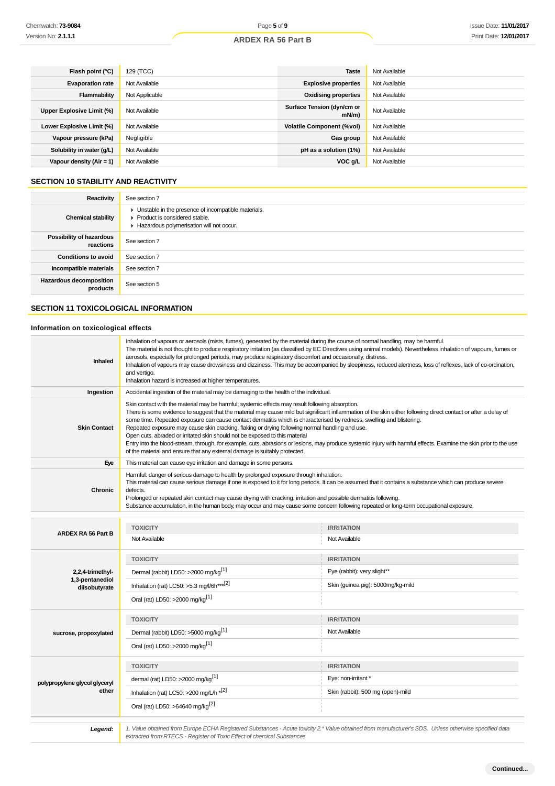| Flash point (°C)           | 129 (TCC)      | <b>Taste</b>                       | Not Available |
|----------------------------|----------------|------------------------------------|---------------|
| <b>Evaporation rate</b>    | Not Available  | <b>Explosive properties</b>        | Not Available |
| Flammability               | Not Applicable | <b>Oxidising properties</b>        | Not Available |
| Upper Explosive Limit (%)  | Not Available  | Surface Tension (dyn/cm or<br>mN/m | Not Available |
| Lower Explosive Limit (%)  | Not Available  | <b>Volatile Component (%vol)</b>   | Not Available |
| Vapour pressure (kPa)      | Negligible     | Gas group                          | Not Available |
| Solubility in water (g/L)  | Not Available  | pH as a solution (1%)              | Not Available |
| Vapour density $(Air = 1)$ | Not Available  | VOC g/L                            | Not Available |

## **SECTION 10 STABILITY AND REACTIVITY**

| Reactivity                            | See section 7                                                                                                                        |
|---------------------------------------|--------------------------------------------------------------------------------------------------------------------------------------|
| <b>Chemical stability</b>             | • Unstable in the presence of incompatible materials.<br>▶ Product is considered stable.<br>Hazardous polymerisation will not occur. |
| Possibility of hazardous<br>reactions | See section 7                                                                                                                        |
| <b>Conditions to avoid</b>            | See section 7                                                                                                                        |
| Incompatible materials                | See section 7                                                                                                                        |
| Hazardous decomposition<br>products   | See section 5                                                                                                                        |

## **SECTION 11 TOXICOLOGICAL INFORMATION**

## **Information on toxicological effects**

| Inhaled                          | Inhalation of vapours or aerosols (mists, fumes), generated by the material during the course of normal handling, may be harmful.<br>The material is not thought to produce respiratory irritation (as classified by EC Directives using animal models). Nevertheless inhalation of vapours, fumes or<br>aerosols, especially for prolonged periods, may produce respiratory discomfort and occasionally, distress.<br>Inhalation of vapours may cause drowsiness and dizziness. This may be accompanied by sleepiness, reduced alertness, loss of reflexes, lack of co-ordination,<br>and vertigo.<br>Inhalation hazard is increased at higher temperatures.                                                                                                                                                                      |                                   |  |  |
|----------------------------------|------------------------------------------------------------------------------------------------------------------------------------------------------------------------------------------------------------------------------------------------------------------------------------------------------------------------------------------------------------------------------------------------------------------------------------------------------------------------------------------------------------------------------------------------------------------------------------------------------------------------------------------------------------------------------------------------------------------------------------------------------------------------------------------------------------------------------------|-----------------------------------|--|--|
| Ingestion                        | Accidental ingestion of the material may be damaging to the health of the individual.                                                                                                                                                                                                                                                                                                                                                                                                                                                                                                                                                                                                                                                                                                                                              |                                   |  |  |
| <b>Skin Contact</b>              | Skin contact with the material may be harmful; systemic effects may result following absorption.<br>There is some evidence to suggest that the material may cause mild but significant inflammation of the skin either following direct contact or after a delay of<br>some time. Repeated exposure can cause contact dermatitis which is characterised by redness, swelling and blistering.<br>Repeated exposure may cause skin cracking, flaking or drying following normal handling and use.<br>Open cuts, abraded or irritated skin should not be exposed to this material<br>Entry into the blood-stream, through, for example, cuts, abrasions or lesions, may produce systemic injury with harmful effects. Examine the skin prior to the use<br>of the material and ensure that any external damage is suitably protected. |                                   |  |  |
| Eye                              | This material can cause eye irritation and damage in some persons.                                                                                                                                                                                                                                                                                                                                                                                                                                                                                                                                                                                                                                                                                                                                                                 |                                   |  |  |
| Chronic                          | Harmful: danger of serious damage to health by prolonged exposure through inhalation.<br>This material can cause serious damage if one is exposed to it for long periods. It can be assumed that it contains a substance which can produce severe<br>defects.<br>Prolonged or repeated skin contact may cause drying with cracking, irritation and possible dermatitis following.<br>Substance accumulation, in the human body, may occur and may cause some concern following repeated or long-term occupational exposure.                                                                                                                                                                                                                                                                                                        |                                   |  |  |
|                                  |                                                                                                                                                                                                                                                                                                                                                                                                                                                                                                                                                                                                                                                                                                                                                                                                                                    |                                   |  |  |
| <b>ARDEX RA 56 Part B</b>        | <b>TOXICITY</b>                                                                                                                                                                                                                                                                                                                                                                                                                                                                                                                                                                                                                                                                                                                                                                                                                    | <b>IRRITATION</b>                 |  |  |
|                                  | Not Available                                                                                                                                                                                                                                                                                                                                                                                                                                                                                                                                                                                                                                                                                                                                                                                                                      | Not Available                     |  |  |
|                                  | <b>TOXICITY</b>                                                                                                                                                                                                                                                                                                                                                                                                                                                                                                                                                                                                                                                                                                                                                                                                                    | <b>IRRITATION</b>                 |  |  |
| 2,2,4-trimethyl-                 | Dermal (rabbit) LD50: >2000 mg/kg <sup>[1]</sup>                                                                                                                                                                                                                                                                                                                                                                                                                                                                                                                                                                                                                                                                                                                                                                                   | Eye (rabbit): very slight**       |  |  |
| 1,3-pentanediol<br>diisobutyrate | Inhalation (rat) LC50: >5.3 mg/l/6h***[2]                                                                                                                                                                                                                                                                                                                                                                                                                                                                                                                                                                                                                                                                                                                                                                                          | Skin (guinea pig): 5000mg/kg-mild |  |  |
|                                  | Oral (rat) LD50: >2000 mg/kg <sup>[1]</sup>                                                                                                                                                                                                                                                                                                                                                                                                                                                                                                                                                                                                                                                                                                                                                                                        |                                   |  |  |
|                                  | <b>TOXICITY</b>                                                                                                                                                                                                                                                                                                                                                                                                                                                                                                                                                                                                                                                                                                                                                                                                                    | <b>IRRITATION</b>                 |  |  |
| sucrose, propoxylated            | Dermal (rabbit) LD50: >5000 mg/kg <sup>[1]</sup>                                                                                                                                                                                                                                                                                                                                                                                                                                                                                                                                                                                                                                                                                                                                                                                   | Not Available                     |  |  |
|                                  | Oral (rat) LD50: >2000 mg/kg <sup>[1]</sup>                                                                                                                                                                                                                                                                                                                                                                                                                                                                                                                                                                                                                                                                                                                                                                                        |                                   |  |  |
|                                  | <b>TOXICITY</b>                                                                                                                                                                                                                                                                                                                                                                                                                                                                                                                                                                                                                                                                                                                                                                                                                    | <b>IRRITATION</b>                 |  |  |
| polypropylene glycol glyceryl    | dermal (rat) LD50: >2000 mg/kg <sup>[1]</sup>                                                                                                                                                                                                                                                                                                                                                                                                                                                                                                                                                                                                                                                                                                                                                                                      | Eye: non-irritant *               |  |  |
| ether                            | Inhalation (rat) LC50: >200 mg/L/h *[2]                                                                                                                                                                                                                                                                                                                                                                                                                                                                                                                                                                                                                                                                                                                                                                                            | Skin (rabbit): 500 mg (open)-mild |  |  |
|                                  | Oral (rat) LD50: >64640 mg/kg <sup>[2]</sup>                                                                                                                                                                                                                                                                                                                                                                                                                                                                                                                                                                                                                                                                                                                                                                                       |                                   |  |  |
|                                  |                                                                                                                                                                                                                                                                                                                                                                                                                                                                                                                                                                                                                                                                                                                                                                                                                                    |                                   |  |  |
| Legend:                          | 1. Value obtained from Europe ECHA Registered Substances - Acute toxicity 2.* Value obtained from manufacturer's SDS. Unless otherwise specified data<br>extracted from RTECS - Register of Toxic Effect of chemical Substances                                                                                                                                                                                                                                                                                                                                                                                                                                                                                                                                                                                                    |                                   |  |  |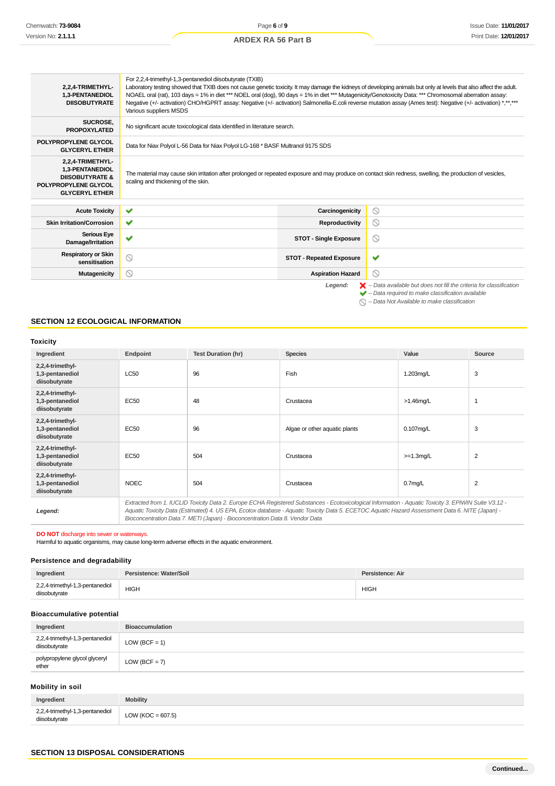#### For 2,2,4-trimethyl-1,3-pentanediol diisobutyrate (TXIB) **2,2,4-TRIMETHYL-**Laboratory testing showed that TXIB does not cause genetic toxicity. It may damage the kidneys of developing animals but only at levels that also affect the adult. **1,3-PENTANEDIOL** NOAEL oral (rat), 103 days = 1% in diet \*\*\* NOEL oral (dog), 90 days = 1% in diet \*\*\* Mutagenicity/Genotoxicity Data: \*\*\* Chromosomal aberration assay: **DIISOBUTYRATE** Negative (+/- activation) CHO/HGPRT assay: Negative (+/- activation) Salmonella-E.coli reverse mutation assay (Ames test): Negative (+/- activation) \*,\*\*,\*\*\* Various suppliers MSDS SUCROSE,<br>PROPOXYLATED No significant acute toxicological data identified in literature search. **POLYPROPYLENE GLYCOL** Data for Niax Polyol L-56 Data for Niax Polyol LG-168 \* BASF Multranol 9175 SDS **2,2,4-TRIMETHYL-1,3-PENTANEDIOL** The material may cause skin irritation after prolonged or repeated exposure and may produce on contact skin redness, swelling, the production of vesicles, **DIISOBUTYRATE &** scaling and thickening of the skin. **POLYPROPYLENE GLYCOL GLYCERYL ETHER**  $\circ$ **Acute Toxicity Carcinogenicity Carcinogenicity Skin Irritation/Corrosion Reproductivity**  $\circ$ **Serious Eye Damage/Irritation**  $\odot$ **Respiratory or Skin STOT - Repeated Exposure**  $\checkmark$ **Mutagenicity Aspiration Hazard**  $\circ$ Legend:  $\mathsf{X}$  – Data available but does not fill the criteria for classification

 $\blacktriangleright$  – Data required to make classification available

 $\bigcirc$  – Data Not Available to make classification

#### **SECTION 12 ECOLOGICAL INFORMATION**

#### **Toxicity**

| Ingredient                                           | Endpoint                                                                                                                                                                                                                                                                                                 | <b>Test Duration (hr)</b> | <b>Species</b>                | Value               | Source         |
|------------------------------------------------------|----------------------------------------------------------------------------------------------------------------------------------------------------------------------------------------------------------------------------------------------------------------------------------------------------------|---------------------------|-------------------------------|---------------------|----------------|
| 2,2,4-trimethyl-<br>1,3-pentanediol<br>diisobutyrate | LC50                                                                                                                                                                                                                                                                                                     | 96                        | Fish                          | 1.203mg/L           | 3              |
| 2,2,4-trimethyl-<br>1,3-pentanediol<br>diisobutyrate | EC50                                                                                                                                                                                                                                                                                                     | 48                        | Crustacea                     | $>1.46$ mg/L        | 1              |
| 2,2,4-trimethyl-<br>1,3-pentanediol<br>diisobutyrate | EC50                                                                                                                                                                                                                                                                                                     | 96                        | Algae or other aquatic plants | $0.107$ mg/L        | 3              |
| 2,2,4-trimethyl-<br>1,3-pentanediol<br>diisobutyrate | <b>EC50</b>                                                                                                                                                                                                                                                                                              | 504                       | Crustacea                     | $>=1.3$ mg/L        | $\overline{2}$ |
| 2,2,4-trimethyl-<br>1,3-pentanediol<br>diisobutyrate | <b>NOEC</b>                                                                                                                                                                                                                                                                                              | 504                       | Crustacea                     | 0.7 <sub>mq/L</sub> | 2              |
| Legend:                                              | Extracted from 1. IUCLID Toxicity Data 2. Europe ECHA Registered Substances - Ecotoxicological Information - Aquatic Toxicity 3. EPIWIN Suite V3.12 -<br>Aquatic Toxicity Data (Estimated) 4. US EPA, Ecotox database - Aquatic Toxicity Data 5. ECETOC Aquatic Hazard Assessment Data 6. NITE (Japan) - |                           |                               |                     |                |

Aquatic Toxicity Data (Estimated) 4. US EPA, Ecotox database - Aquatic Toxicity Data 5. ECETOC Aquatic Hazard Assessment Data 6. NITE (Japan) - Bioconcentration Data 7. METI (Japan) - Bioconcentration Data 8. Vendor Data

**DO NOT** discharge into sewer or waterways.

Harmful to aquatic organisms, may cause long-term adverse effects in the aquatic environment.

#### **Persistence and degradability**

| Ingredient                                       | Persistence: Water/Soil | Persistence: Air |
|--------------------------------------------------|-------------------------|------------------|
| 2,2,4-trimethyl-1,3-pentanediol<br>diisobutyrate | <b>HIGH</b>             | <b>HIGH</b>      |

#### **Bioaccumulative potential**

| Ingredient                                       | <b>Bioaccumulation</b> |
|--------------------------------------------------|------------------------|
| 2,2,4-trimethyl-1,3-pentanediol<br>diisobutyrate | $LOW (BCF = 1)$        |
| polypropylene glycol glyceryl<br>ether           | $LOW (BCF = 7)$        |

#### **Mobility in soil**

| Ingredient                                       | <b>Mobility</b>       |
|--------------------------------------------------|-----------------------|
| 2,2,4-trimethyl-1,3-pentanediol<br>diisobutyrate | LOW ( $KOC = 607.5$ ) |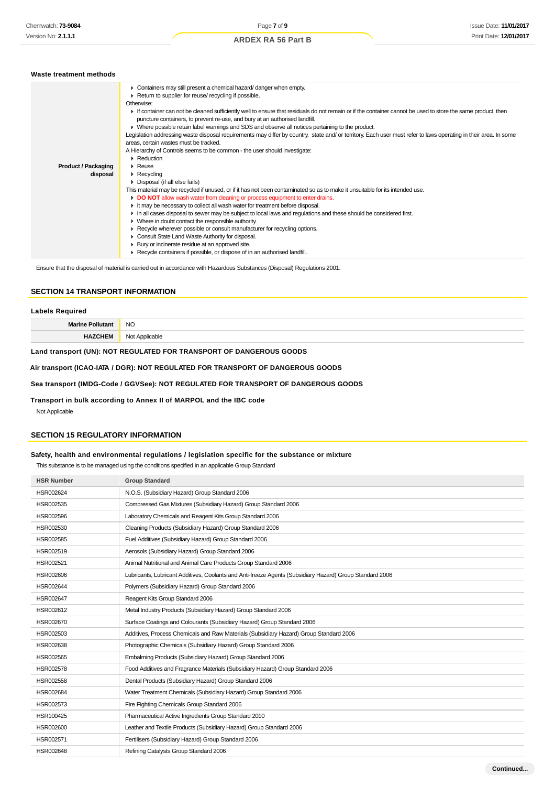| Waste treatment methods                |                                                                                                                                                                                                                                                                                                                                                                                                                                                                                                                                                                                                                                                                                                                                                                                                                                                                                                                                                                                                                                                                                                                                                                                                                                    |
|----------------------------------------|------------------------------------------------------------------------------------------------------------------------------------------------------------------------------------------------------------------------------------------------------------------------------------------------------------------------------------------------------------------------------------------------------------------------------------------------------------------------------------------------------------------------------------------------------------------------------------------------------------------------------------------------------------------------------------------------------------------------------------------------------------------------------------------------------------------------------------------------------------------------------------------------------------------------------------------------------------------------------------------------------------------------------------------------------------------------------------------------------------------------------------------------------------------------------------------------------------------------------------|
| <b>Product / Packaging</b><br>disposal | • Containers may still present a chemical hazard/danger when empty.<br>Return to supplier for reuse/ recycling if possible.<br>Otherwise:<br>If container can not be cleaned sufficiently well to ensure that residuals do not remain or if the container cannot be used to store the same product, then<br>puncture containers, to prevent re-use, and bury at an authorised landfill.<br>• Where possible retain label warnings and SDS and observe all notices pertaining to the product.<br>Legislation addressing waste disposal requirements may differ by country, state and/or territory. Each user must refer to laws operating in their area. In some<br>areas, certain wastes must be tracked.<br>A Hierarchy of Controls seems to be common - the user should investigate:<br>$\blacktriangleright$ Reduction<br>$\triangleright$ Reuse<br>$\triangleright$ Recycling<br>$\triangleright$ Disposal (if all else fails)<br>This material may be recycled if unused, or if it has not been contaminated so as to make it unsuitable for its intended use.<br>DO NOT allow wash water from cleaning or process equipment to enter drains.<br>It may be necessary to collect all wash water for treatment before disposal. |
|                                        | In all cases disposal to sewer may be subject to local laws and regulations and these should be considered first.<br>• Where in doubt contact the responsible authority.<br>▶ Recycle wherever possible or consult manufacturer for recycling options.<br>Consult State Land Waste Authority for disposal.                                                                                                                                                                                                                                                                                                                                                                                                                                                                                                                                                                                                                                                                                                                                                                                                                                                                                                                         |
|                                        | Bury or incinerate residue at an approved site.<br>▶ Recycle containers if possible, or dispose of in an authorised landfill.                                                                                                                                                                                                                                                                                                                                                                                                                                                                                                                                                                                                                                                                                                                                                                                                                                                                                                                                                                                                                                                                                                      |

Ensure that the disposal of material is carried out in accordance with Hazardous Substances (Disposal) Regulations 2001.

#### **SECTION 14 TRANSPORT INFORMATION**

#### **Labels Required**

| <b>Marine</b> | <b>NO</b><br>__ |
|---------------|-----------------|
|               | 、……<br>יומה     |
|               |                 |

## **Land transport (UN): NOT REGULATED FOR TRANSPORT OF DANGEROUS GOODS**

#### **Air transport (ICAO-IATA / DGR): NOT REGULATED FOR TRANSPORT OF DANGEROUS GOODS**

#### **Sea transport (IMDG-Code / GGVSee): NOT REGULATED FOR TRANSPORT OF DANGEROUS GOODS**

#### **Transport in bulk according to Annex II of MARPOL and the IBC code**

Not Applicable

## **SECTION 15 REGULATORY INFORMATION**

#### **Safety, health and environmental regulations / legislation specific for the substance or mixture**

This substance is to be managed using the conditions specified in an applicable Group Standard

| <b>HSR Number</b> | <b>Group Standard</b>                                                                                    |
|-------------------|----------------------------------------------------------------------------------------------------------|
| HSR002624         | N.O.S. (Subsidiary Hazard) Group Standard 2006                                                           |
| HSR002535         | Compressed Gas Mixtures (Subsidiary Hazard) Group Standard 2006                                          |
| HSR002596         | Laboratory Chemicals and Reagent Kits Group Standard 2006                                                |
| HSR002530         | Cleaning Products (Subsidiary Hazard) Group Standard 2006                                                |
| HSR002585         | Fuel Additives (Subsidiary Hazard) Group Standard 2006                                                   |
| HSR002519         | Aerosols (Subsidiary Hazard) Group Standard 2006                                                         |
| HSR002521         | Animal Nutritional and Animal Care Products Group Standard 2006                                          |
| HSR002606         | Lubricants, Lubricant Additives, Coolants and Anti-freeze Agents (Subsidiary Hazard) Group Standard 2006 |
| HSR002644         | Polymers (Subsidiary Hazard) Group Standard 2006                                                         |
| <b>HSR002647</b>  | Reagent Kits Group Standard 2006                                                                         |
| HSR002612         | Metal Industry Products (Subsidiary Hazard) Group Standard 2006                                          |
| HSR002670         | Surface Coatings and Colourants (Subsidiary Hazard) Group Standard 2006                                  |
| HSR002503         | Additives, Process Chemicals and Raw Materials (Subsidiary Hazard) Group Standard 2006                   |
| HSR002638         | Photographic Chemicals (Subsidiary Hazard) Group Standard 2006                                           |
| HSR002565         | Embalming Products (Subsidiary Hazard) Group Standard 2006                                               |
| HSR002578         | Food Additives and Fragrance Materials (Subsidiary Hazard) Group Standard 2006                           |
| HSR002558         | Dental Products (Subsidiary Hazard) Group Standard 2006                                                  |
| HSR002684         | Water Treatment Chemicals (Subsidiary Hazard) Group Standard 2006                                        |
| HSR002573         | Fire Fighting Chemicals Group Standard 2006                                                              |
| HSR100425         | Pharmaceutical Active Ingredients Group Standard 2010                                                    |
| HSR002600         | Leather and Textile Products (Subsidiary Hazard) Group Standard 2006                                     |
| HSR002571         | Fertilisers (Subsidiary Hazard) Group Standard 2006                                                      |
| HSR002648         | Refining Catalysts Group Standard 2006                                                                   |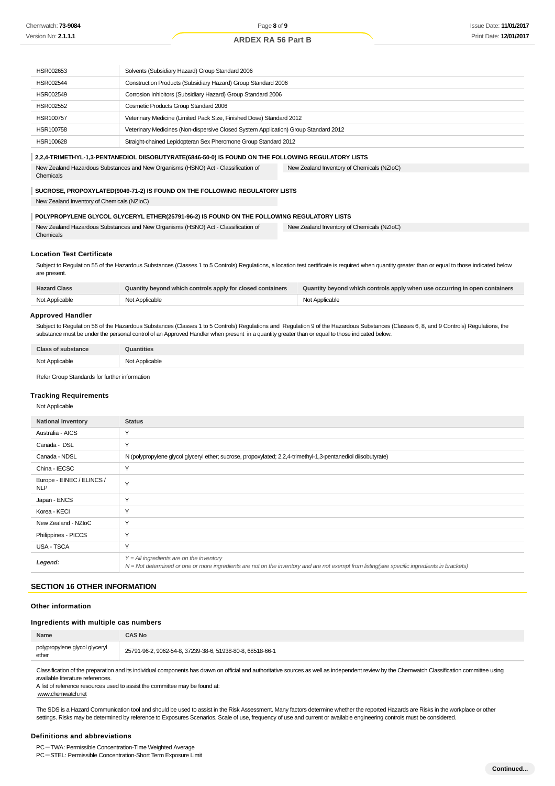| HSR002653                                                                                           | Solvents (Subsidiary Hazard) Group Standard 2006                                    |
|-----------------------------------------------------------------------------------------------------|-------------------------------------------------------------------------------------|
| HSR002544                                                                                           | Construction Products (Subsidiary Hazard) Group Standard 2006                       |
| HSR002549                                                                                           | Corrosion Inhibitors (Subsidiary Hazard) Group Standard 2006                        |
| HSR002552                                                                                           | Cosmetic Products Group Standard 2006                                               |
| HSR100757                                                                                           | Veterinary Medicine (Limited Pack Size, Finished Dose) Standard 2012                |
| HSR100758                                                                                           | Veterinary Medicines (Non-dispersive Closed System Application) Group Standard 2012 |
| HSR100628                                                                                           | Straight-chained Lepidopteran Sex Pheromone Group Standard 2012                     |
| 2,2,4-TRIMETHYL-1,3-PENTANEDIOL DIISOBUTYRATE(6846-50-0) IS FOUND ON THE FOLLOWING REGULATORY LISTS |                                                                                     |

New Zealand Hazardous Substances and New Organisms (HSNO) Act - Classification of Chemicals New Zealand Inventory of Chemicals (NZIoC)

#### **SUCROSE, PROPOXYLATED(9049-71-2) IS FOUND ON THE FOLLOWING REGULATORY LISTS**

New Zealand Inventory of Chemicals (NZIoC)

#### **POLYPROPYLENE GLYCOL GLYCERYL ETHER(25791-96-2) IS FOUND ON THE FOLLOWING REGULATORY LISTS**

New Zealand Hazardous Substances and New Organisms (HSNO) Act - Classification of Chemicals New Zealand Inventory of Chemicals (NZIoC)

#### **Location Test Certificate**

Subject to Regulation 55 of the Hazardous Substances (Classes 1 to 5 Controls) Regulations, a location test certificate is required when quantity greater than or equal to those indicated below are present.

| <b>Hazard Class</b> | Quantity beyond which controls apply for closed containers | Quantity beyond which controls apply when use occurring in open containers |
|---------------------|------------------------------------------------------------|----------------------------------------------------------------------------|
| Not Applicable      | Not Applicable                                             | Not Applicable                                                             |

#### **Approved Handler**

Subject to Regulation 56 of the Hazardous Substances (Classes 1 to 5 Controls) Regulations and Regulation 9 of the Hazardous Substances (Classes 6, 8, and 9 Controls) Regulations, the substance must be under the personal control of an Approved Handler when present in a quantity greater than or equal to those indicated below.

| Clase.         | Quantities     |
|----------------|----------------|
| Not Applicable | Not Applicable |

Refer Group Standards for further information

#### **Tracking Requirements**

Not Applicable

| <b>National Inventory</b>               | <b>Status</b>                                                                                                                                                                              |
|-----------------------------------------|--------------------------------------------------------------------------------------------------------------------------------------------------------------------------------------------|
| Australia - AICS                        | $\checkmark$                                                                                                                                                                               |
| Canada - DSL                            | Y                                                                                                                                                                                          |
| Canada - NDSL                           | N (polypropylene glycol glyceryl ether; sucrose, propoxylated; 2,2,4-trimethyl-1,3-pentanediol diisobutyrate)                                                                              |
| China - IECSC                           | $\checkmark$                                                                                                                                                                               |
| Europe - EINEC / ELINCS /<br><b>NLP</b> | $\checkmark$                                                                                                                                                                               |
| Japan - ENCS                            | Y                                                                                                                                                                                          |
| Korea - KECI                            | Υ                                                                                                                                                                                          |
| New Zealand - NZIoC                     | $\checkmark$                                                                                                                                                                               |
| Philippines - PICCS                     | Y                                                                                                                                                                                          |
| USA - TSCA                              | $\checkmark$                                                                                                                                                                               |
| Legend:                                 | $Y = All$ ingredients are on the inventory<br>N = Not determined or one or more ingredients are not on the inventory and are not exempt from listing(see specific ingredients in brackets) |

## **SECTION 16 OTHER INFORMATION**

#### **Other information**

#### **Ingredients with multiple cas numbers**

| Name                                                                                                                                                                                          | CAS No                                                    |
|-----------------------------------------------------------------------------------------------------------------------------------------------------------------------------------------------|-----------------------------------------------------------|
| polypropylene glycol glyceryl<br>ether                                                                                                                                                        | 25791-96-2, 9062-54-8, 37239-38-6, 51938-80-8, 68518-66-1 |
| Classification of the preparation and its individual components has drawn on official and authoritative sources as well as independent review by the Chemwatch Classification committee using |                                                           |

Classification of the preparation and its individual components has drawn on official and authoritative sources as well as independent review by the Chemwatch Classification committee using available literature references.

A list of reference resources used to assist the committee may be found at:

www.chemwatch.net

The SDS is a Hazard Communication tool and should be used to assist in the Risk Assessment. Many factors determine whether the reported Hazards are Risks in the workplace or other settings. Risks may be determined by reference to Exposures Scenarios. Scale of use, frequency of use and current or available engineering controls must be considered.

#### **Definitions and abbreviations**

PC-TWA: Permissible Concentration-Time Weighted Average

PC-STEL: Permissible Concentration-Short Term Exposure Limit